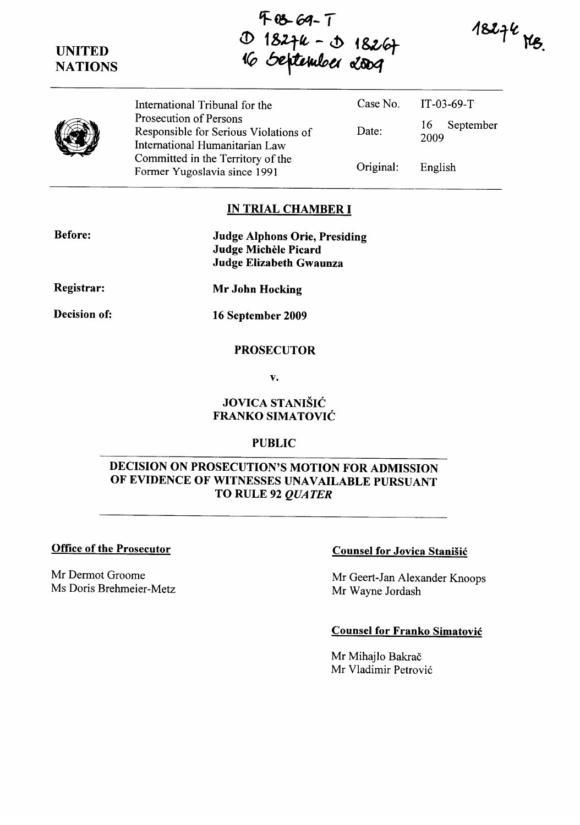# UNITED **NATIONS**

'F-0-6q- T D 18274 - D 18267<br>16 September 2009

 $18276$  MB.



International Tribunal for the Prosecution of Persons Responsible for Serious Violations of International Humanitarian Law Committed in the Territory of the Former Yugoslavia since 1991 Case No. Date: Original: IT-03-69-T 16 September 2009 English

## **IN TRIAL CHAMBER I**

| <b>Before:</b>      | <b>Judge Alphons Orie, Presiding</b><br>Judge Michèle Picard<br>Judge Elizabeth Gwaunza |
|---------------------|-----------------------------------------------------------------------------------------|
| Registrar:          | Mr John Hocking                                                                         |
| <b>Decision of:</b> | 16 September 2009                                                                       |

### PROSECUTOR

v.

### JOVICA STANIŠIĆ FRANKO SIMATOVIC

### PUBLIC

## DECISION ON PROSECUTION'S MOTION FOR ADMISSION OF EVIDENCE OF WITNESSES UNAVAILABLE PURSUANT TO RULE 92 *QUATER*

### Office of the Prosecutor

Mr Dermot Groome Ms Doris Brehmeier-Metz

### Counsel for Jovica Stanisic

Mr Geert-Jan Alexander Knoops Mr Wayne Jordash

#### Counsel for Franko Simatovic

Mr Mihajlo Bakrač Mr Vladimir Petrovic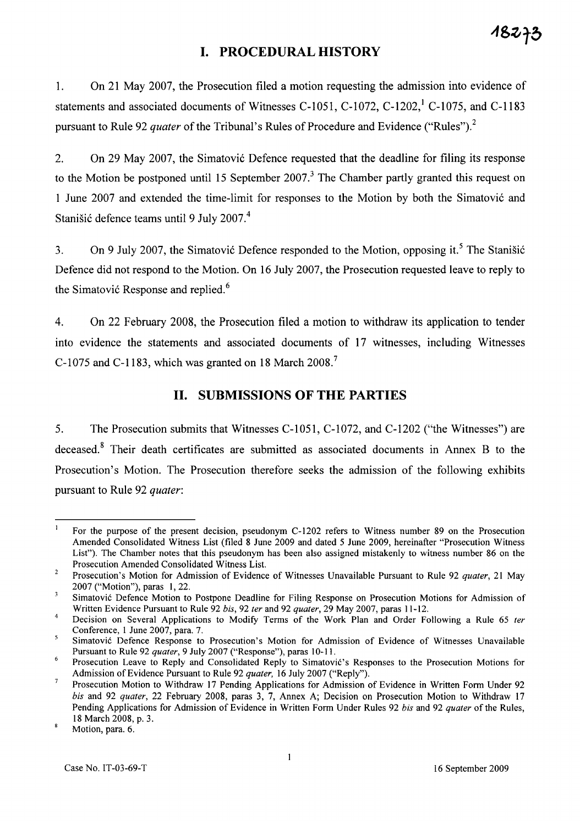# **I. PROCEDURAL HISTORY**

1. On 21 May 2007, the Prosecution filed a motion requesting the admission into evidence of statements and associated documents of Witnesses C-1051, C-1072, C-1202,<sup>1</sup> C-1075, and C-1183 pursuant to Rule 92 *quater* of the Tribunal's Rules of Procedure and Evidence ("Rules").<sup>2</sup>

2. On 29 May 2007, the Simatovic Defence requested that the deadline for filing its response to the Motion be postponed until 15 September  $2007<sup>3</sup>$ . The Chamber partly granted this request on 1 June 2007 and extended the time-limit for responses to the Motion by both the Simatovic and Stanišić defence teams until 9 July 2007.<sup>4</sup>

3. On 9 July 2007, the Simatovic Defence responded to the Motion, opposing it.<sup>5</sup> The Stanisic Defence did not respond to the Motion. On 16 July 2007, the Prosecution requested leave to reply to the Simatović Response and replied.<sup>6</sup>

4. On 22 February 2008, the Prosecution filed a motion to withdraw its application to tender into evidence the statements and associated documents of 17 witnesses, including Witnesses C-I075 and C-1183, which was granted on 18 March 2008. <sup>7</sup>

## **II. SUBMISSIONS OF THE PARTIES**

5. The Prosecution submits that Witnesses C-1051, C-1072, and C-1202 ("the Witnesses") are deceased.<sup>8</sup> Their death certificates are submitted as associated documents in Annex B to the Prosecution's Motion. The Prosecution therefore seeks the admission of the following exhibits pursuant to Rule 92 *quater:* 

18273

 $\mathbf{1}$ For the purpose of the present decision, pseudonym C-1202 refers to Witness number 89 on the Prosecution Amended Consolidated Witness List (filed 8 June 2009 and dated 5 June 2009, hereinafter "Prosecution Witness List"). The Chamber notes that this pseudonym has been also assigned mistakenly to witness number 86 on the Prosecution Amended Consolidated Witness List.

 $\overline{2}$ Prosecution's Motion for Admission of Evidence of Witnesses Unavailable Pursuant to Rule 92 *quater,* 21 May 2007 ("Motion"), paras I, 22.

 $\overline{3}$ Simatovi6 Defence Motion to Postpone Deadline for Filing Response on Prosecution Motions for Admission of Written Evidence Pursuant to Rule 92 *his,* 92 *ter* and 92 *quater,* 29 May 2007, paras 11-12.

<sup>4</sup>  Decision on Several Applications to Modify Terms of the Work Plan and Order Following a Rule 65 *fer*  Conference, I June 2007, para. 7.

 $\mathfrak s$ Simatovi6 Defence Response to Prosecution's Motion for Admission of Evidence of Witnesses Unavailable Pursuant to Rule 92 *quater,* 9 July 2007 ("Response"), paras 10-11.

<sup>6</sup>  Prosecution Leave to Reply and Consolidated Reply to Simatović's Responses to the Prosecution Motions for Admission of Evidence Pursuant to Rule 92 *quater,* 16 July 2007 ("Reply").

 $\overline{7}$ Prosecution Motion to Withdraw 17 Pending Applications for Admission of Evidence in Written Form Under 92 *his* and 92 *quater,* 22 February 2008, paras 3, 7, Annex A; Decision on Prosecution Motion to Withdraw 17 Pending Applications for Admission of Evidence in Written Form Under Rules 92 *his* and 92 *quater* of the Rules, 18 March 2008, p. 3.

Motion, para. 6.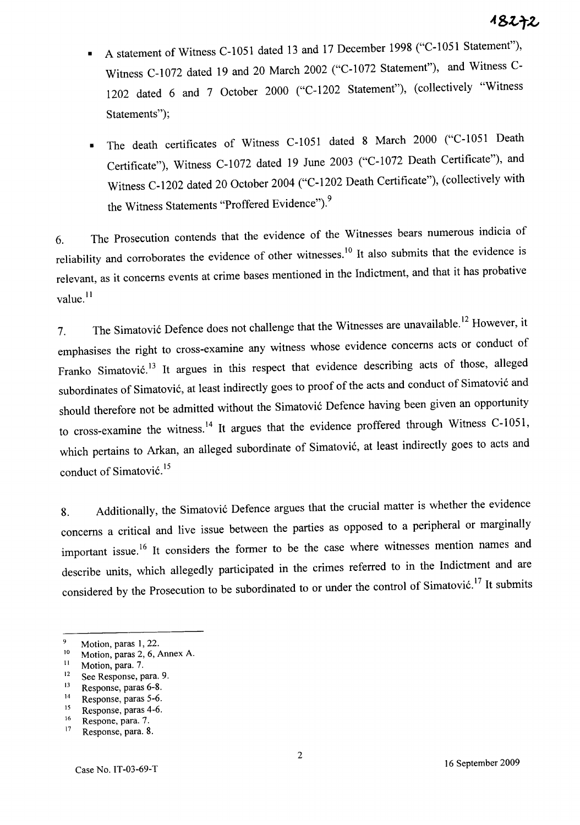- A statement of Witness C-I051 dated 13 and <sup>17</sup>December 1998 ("C-I051 Statement"), Witness C-I072 dated 19 and 20 March 2002 ("C-I072 Statement"), and Witness C-1202 dated 6 and 7 October 2000 ("C-1202 Statement"), (collectively "Witness Statements");
- The death certificates of Witness C-I051 dated 8 March 2000 ("C-I051 Death Certificate"), Witness C-1072 dated 19 June 2003 ("C-1072 Death Certificate"), and Witness C-1202 dated 20 October 2004 ("C-1202 Death Certificate"), (collectively with the Witness Statements "Proffered Evidence").<sup>9</sup>

6. The Prosecution contends that the evidence of the Witnesses bears numerous indicia of reliability and corroborates the evidence of other witnesses.<sup>10</sup> It also submits that the evidence is relevant, as it concerns events at crime bases mentioned in the Indictment, and that it has probative value.<sup>11</sup>

7. The Simatović Defence does not challenge that the Witnesses are unavailable.<sup>12</sup> However, it emphasises the right to cross-examine any witness whose evidence concerns acts or conduct of Franko Simatović.<sup>13</sup> It argues in this respect that evidence describing acts of those, alleged subordinates of Simatović, at least indirectly goes to proof of the acts and conduct of Simatović and should therefore not be admitted without the Simatović Defence having been given an opportunity to cross-examine the witness.<sup>14</sup> It argues that the evidence proffered through Witness C-1051, which pertains to Arkan, an alleged subordinate of Simatović, at least indirectly goes to acts and conduct of Simatović.<sup>15</sup>

8. Additionally, the Simatović Defence argues that the crucial matter is whether the evidence concerns a critical and live issue between the parties as opposed to a peripheral or marginally important issue.<sup>16</sup> It considers the former to be the case where witnesses mention names and describe units, which allegedly participated in the crimes referred to in the Indictment and are considered by the Prosecution to be subordinated to or under the control of Simatović.<sup>17</sup> It submits

- <sup>12</sup> See Response, para. 9.<br> $\frac{13}{13}$  Besponse, paras 6-8.
- $13$  Response, paras 6-8.<br> $14$  Response paras 5-6.
- <sup>14</sup> Response, paras 5-6.<br> $\frac{15}{2}$  Response paras 4-6.
- $15$  Response, paras 4-6.

 $\mathbf{q}$ Motion, paras 1, 22.

 $10$  Motion, paras 2, 6, Annex A.

 $\frac{11}{12}$  Motion, para. 7.

 $^{16}$  Respone, para. 7.<br><sup>17</sup> Besponse para. 8

Response, para. 8.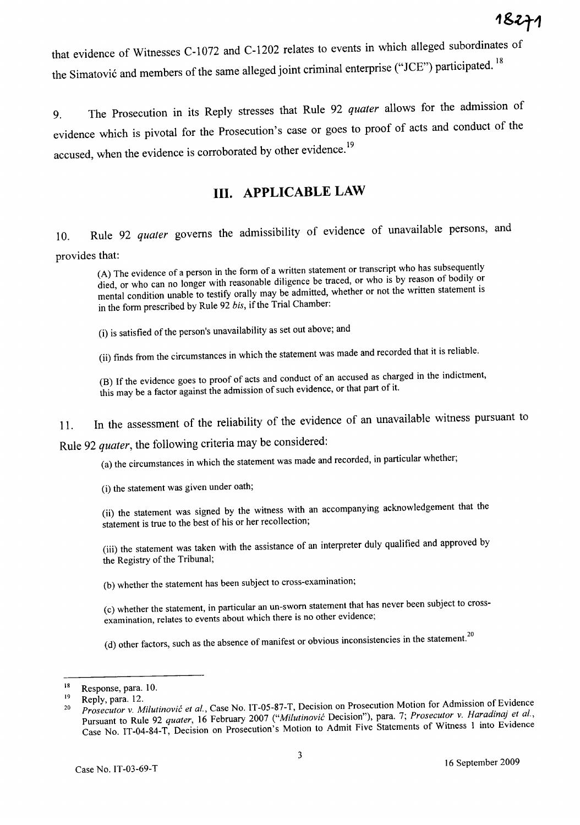that evidence of Witnesses C-I072 and C-1202 relates to events in which alleged subordinates of the Simatović and members of the same alleged joint criminal enterprise ("JCE") participated.<sup>18</sup>

9. The Prosecution in its Reply stresses that Rule 92 *quater* allows for the admission of evidence which is pivotal for the Prosecution's case or goes to proof of acts and conduct of the accused, when the evidence is corroborated by other evidence.<sup>19</sup>

# **III. APPLICABLE LAW**

10. Rule 92 *quater* governs the admissibility of evidence of unavailable persons, an<sup>d</sup> provides that:

(A) The evidence of a person in the form of a written statement or transcript who has subsequently died, or who can no longer with reasonable diligence be traced, or who is by reason of bodily or mental condition unable to testify orally may be admitted, whether or not the written statement is in the form prescribed by Rule 92 *bis,* if the Trial Chamber:

(i) is satisfied of the person's unavailability as set out above; and

(ii) finds from the circumstances in which the statement was made and recorded that it is reliable.

(B) If the evidence goes to proof of acts and conduct of an accused as charged in the indictment, this may be a factor against the admission of such evidence, or that part of it.

11. In the assessment of the reliability of the evidence of an unavailable witness pursuant to

Rule 92 *quater,* the following criteria may be considered:

(a) the circumstances in which the statement was made and recorded, in particular whether;

(i) the statement was given under oath;

(ii) the statement was signed by the witness with an accompanying acknowledgement that the statement is true to the best of his or her recollection;

(iii) the statement was taken with the assistance of an interpreter duly qualified and approved by the Registry of the Tribunal;

(b) whether the statement has been subject to cross-examination;

(c) whether the statement, in particular an un-sworn statement that has never been subject to crossexamination, relates to events about which there is no other evidence;

(d) other factors, such as the absence of manifest or obvious inconsistencies in the statement.<sup>20</sup>

<sup>18</sup>  Response, para. 10.

<sup>19</sup>  Reply, para. 12.

<sup>20</sup>  *Prosecutor* v. *Milutinovic et aI.,* Case No. IT-05-87-T, Decision on Prosecution Motion for Admission of Evidence Pursuant to Rule 92 *quater,* 16 February 2007 *("Milutinovic* Decision"), para. 7; *Prosecutor* v. *Haradinaj et aI.,*  Case No. IT-04-84-T, Decision on Prosecution's Motion to Admit Five Statements of Witness 1 into Evidence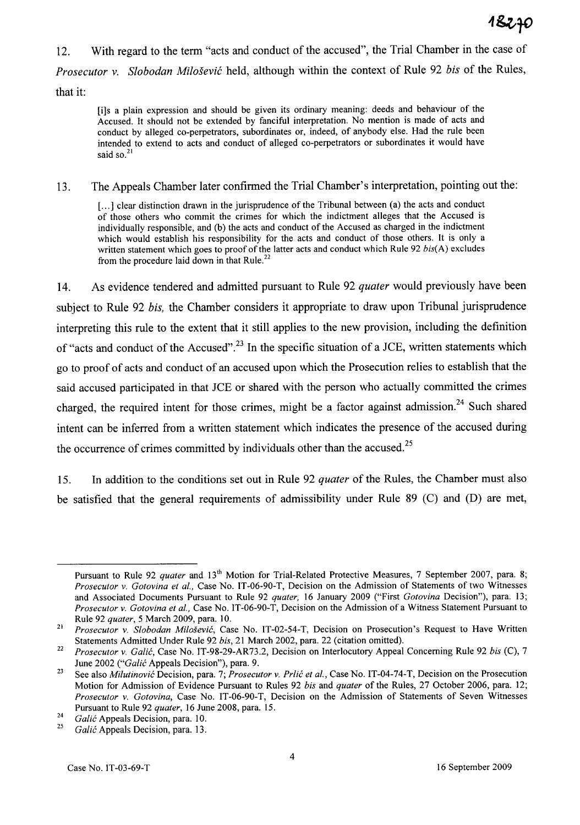12. With regard to the term "acts and conduct of the accused", the Trial Chamber in the case of *Prosecutor* v. *Slobodan Milosevic* held, although within the context of Rule 92 *bis* of the Rules, that it:

[i]s a plain expression and should be given its ordinary meaning: deeds and behaviour of the Accused. It should not be extended by fanciful interpretation. No mention is made of acts and conduct by alleged co-perpetrators, subordinates or, indeed, of anybody else. Had the rule been intended to extend to acts and conduct of alleged co-perpetrators or subordinates it would have said so.<sup>21</sup>

13. The Appeals Chamber later confirmed the Trial Chamber's interpretation, pointing out the:

[...] clear distinction drawn in the jurisprudence of the Tribunal between (a) the acts and conduct of those others who commit the crimes for which the indictment alleges that the Accused is individually responsible, and (b) the acts and conduct of the Accused as charged in the indictment which would establish his responsibility for the acts and conduct of those others. It is only a written statement which goes to proof of the latter acts and conduct which Rule 92 *bis{A)* excludes from the procedure laid down in that Rule.<sup>22</sup>

14. As evidence tendered and admitted pursuant to Rule 92 *quater* would previously have been subject to Rule 92 *bis,* the Chamber considers it appropriate to draw upon Tribunal jurisprudence interpreting this rule to the extent that it still applies to the new provision, including the definition of "acts and conduct of the Accused".<sup>23</sup> In the specific situation of a JCE, written statements which go to proof of acts and conduct of an accused upon which the Prosecution relies to establish that the said accused participated in that JCE or shared with the person who actually committed the crimes charged, the required intent for those crimes, might be a factor against admission.<sup>24</sup> Such shared intent can be inferred from a written statement which indicates the presence of the accused during the occurrence of crimes committed by individuals other than the accused.<sup>25</sup>

15. In addition to the conditions set out in Rule 92 *quater* of the Rules, the Chamber must also be satisfied that the general requirements of admissibility under Rule 89 (C) and (D) are met,

Pursuant to Rule 92 *quater* and 13<sup>th</sup> Motion for Trial-Related Protective Measures, 7 September 2007, para. 8; *Prosecutor* v. *Gotovina et at.,* Case No. IT-06-90-T, Decision on the Admission of Statements of two Witnesses and Associated Documents Pursuant to Rule 92 *quater,* 16 January 2009 ("First *Gotovina* Decision"), para. 13; *Prosecutor* v. *Gotovina et at.,* Case No. IT-06-90-T, Decision on the Admission ofa Witness Statement Pursuant to Rule 92 *quater,* 5 March 2009, para. 10.

<sup>21</sup>  *Prosecutor* v. *Siobodan Milosevic,* Case No. IT-02-54-T, Decision on Prosecution's Request to Have Written Statements Admitted Under Rule 92 *bis,* 21 March 2002, para. 22 (citation omitted).

<sup>22</sup>  *Prosecutor* v. *Galic,* Case No. IT-98-29-AR73.2, Decision on Interlocutory Appeal Concerning Rule 92 *his* (C), 7 June 2002 *("Galic* Appeals Decision"), para. 9.

<sup>23</sup>  See also *Milutinovic* Decision, para. 7; *Prosecutor* v. *Prlic et al.,* Case No. IT-04-74-T, Decision on the Prosecution Motion for Admission of Evidence Pursuant to Rules 92 *his* and *quater* of the Rules, 27 October 2006, para. 12; *Prosecutor* v. *Gotovina,* Case No. IT-06-90-T, Decision on the Admission of Statements of Seven Witnesses Pursuant to Rule 92 *quater,* 16 June 2008, para. 15.

<sup>24</sup>  *Galic* Appeals Decision, para. 10.

<sup>25</sup>  *Galic* Appeals Decision, para. 13.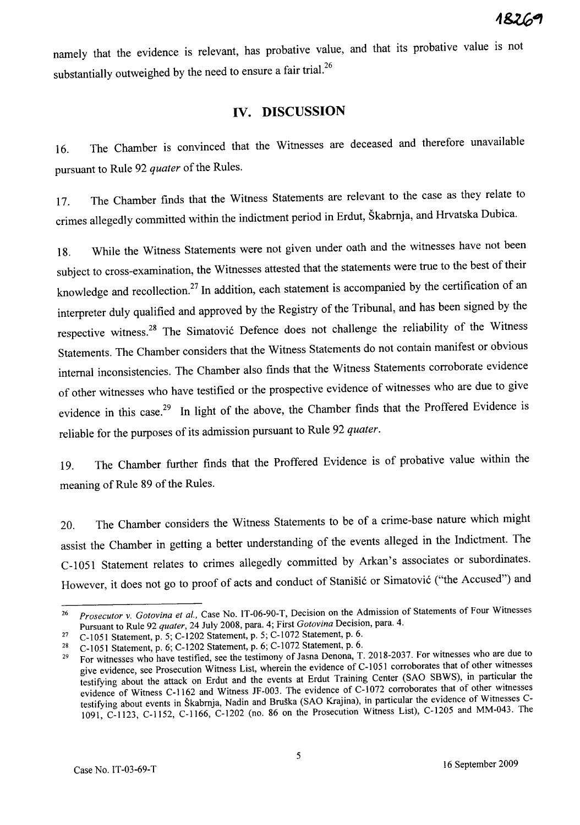namely that the evidence is relevant, has probative value, and that its probative value is not substantially outweighed by the need to ensure a fair trial.<sup>26</sup>

## **IV. DISCUSSION**

16. The Chamber is convinced that the Witnesses are deceased and therefore unavailable pursuant to Rule 92 *quater* of the Rules.

17. The Chamber finds that the Witness Statements are relevant to the case as they relate to crimes allegedly committed within the indictment period in Erdut, Skabrnja, and Hrvatska Dubica.

18. While the Witness Statements were not given under oath and the witnesses have not been subject to cross-examination, the Witnesses attested that the statements were true to the best of their knowledge and recollection.<sup>27</sup> In addition, each statement is accompanied by the certification of an interpreter duly qualified and approved by the Registry of the Tribunal, and has been signed by the respective witness.<sup>28</sup> The Simatović Defence does not challenge the reliability of the Witness Statements. The Chamber considers that the Witness Statements do not contain manifest or obvious internal inconsistencies. The Chamber also finds that the Witness Statements corroborate evidence of other witnesses who have testified or the prospective evidence of witnesses who are due to give evidence in this case.<sup>29</sup> In light of the above, the Chamber finds that the Proffered Evidence is reliable for the purposes of its admission pursuant to Rule 92 *quater.* 

19. The Chamber further finds that the Proffered Evidence is of probative value within the meaning of Rule 89 of the Rules.

20. The Chamber considers the Witness Statements to be of a crime-base nature which might assist the Chamber in getting a better understanding of the events alleged in the Indictment. The C-1051 Statement relates to crimes allegedly committed by Arkan's associates or subordinates. However, it does not go to proof of acts and conduct of Stanisic or Simatovic ("the Accused") and

*<sup>26</sup> Prosecutor* v. *Gotovina et aI.,* Case No. IT-06-90-T, Decision on the Admission of Statements of Four Witnesses Pursuant to Rule 92 *quater,* 24 July 2008, para. 4; First *Gotovina* Decision, para. 4.

<sup>&</sup>lt;sup>27</sup> C-1051 Statement, p. 5; C-1202 Statement, p. 5; C-1072 Statement, p. 6.

<sup>28</sup> C-IOSI Statement, p. 6; C-1202 Statement, p. 6; C-1072 Statement, p. 6. 29 For witnesses who have testified, see the testimony of Jasna Denona, T. 2018-2037. For witnesses who are due to give evidence, see Prosecution Witness List, wherein the evidence of C-l *OSI* corroborates that of other witnesses testifying about the attack on Erdut and the events at Erdut Training Center (SAO SBWS), in particular the evidence of Witness C-1162 and Witness JF-003. The evidence of C-1072 corroborates that of other witnesses testifying about events in Skabmja, Nadin and Bruska (SAO Krajina), in particular the evidence of Witnesses C-1091, C-l123, C-lIS2, C-1166, C-1202 (no. 86 on the Prosecution Witness List), C-120S and MM-043. The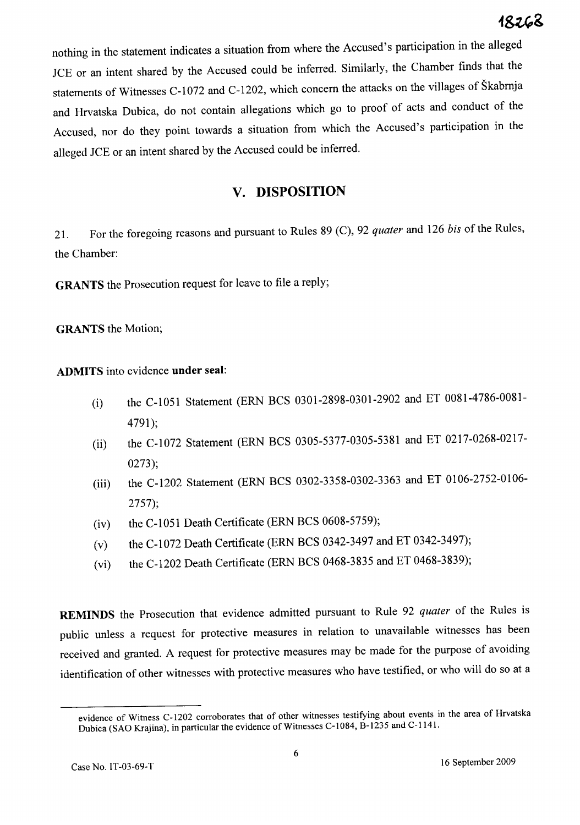nothing in the statement indicates a situation from where the Accused's participation in the alleged lCE or an intent shared by the Accused could be inferred. Similarly, the Chamber finds that the statements of Witnesses C-I072 and C-1202, which concern the attacks on the villages of Skabrnja and Hrvatska Dubica, do not contain allegations which go to proof of acts and conduct of the Accused, nor do they point towards a situation from which the Accused's participation in the alleged lCE or an intent shared by the Accused could be inferred.

# **v. DISPOSITION**

21. For the foregoing reasons and pursuant to Rules 89 (C), 92 *quater* and 126 *his* of the Rules, the Chamber:

**GRANTS** the Prosecution request for leave to file a reply;

**GRANTS** the Motion;

**ADMITS** into evidence **under** seal:

- (i) the C-1051 Statement (ERN BCS 0301-2898-0301-2902 and ET 0081-4786-0081- 4791);
- (ii) the C-1072 Statement (ERN BCS 0305-5377-0305-5381 and ET 0217-0268-0217- 0273);
- (iii) the C-1202 Statement (ERN BCS 0302-3358-0302-3363 and ET 0106-2752-0106- 2757);
- $(iv)$  the C-1051 Death Certificate (ERN BCS 0608-5759);
- (v) the C-1072 Death Certificate (ERN BCS 0342-3497 and ET 0342-3497);
- (vi) the C-1202 Death Certificate (ERN BCS 0468-3835 and ET 0468-3839);

**REMINDS** the Prosecution that evidence admitted pursuant to Rule 92 *quater* of the Rules is public unless a request for protective measures in relation to unavailable witnesses has been received and granted. A request for protective measures may be made for the purpose of avoiding identification of other witnesses with protective measures who have testified, or who will do so at a

evidence of Witness C-1202 corroborates that of other witnesses testifying about events in the area of Hrvatska Dubica (SAO Krajina), in particular the evidence of Witnesses C-1084, B-1235 and C-1141.